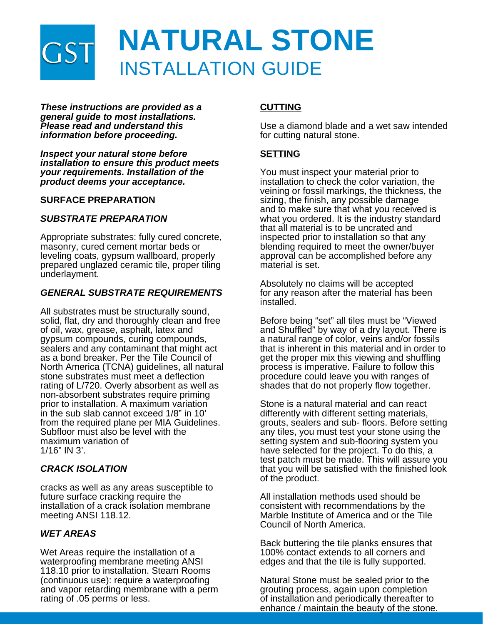

*These instructions are provided as a general guide to most installations. Please read and understand this information before proceeding.*

*Inspect your natural stone before installation to ensure this product meets your requirements. Installation of the product deems your acceptance.*

## **SURFACE PREPARATION**

## *SUBSTRATE PREPARATION*

Appropriate substrates: fully cured concrete, masonry, cured cement mortar beds or leveling coats, gypsum wallboard, properly prepared unglazed ceramic tile, proper tiling underlayment.

### *GENERAL SUBSTRATE REQUIREMENTS*

All substrates must be structurally sound, solid, flat, dry and thoroughly clean and free of oil, wax, grease, asphalt, latex and gypsum compounds, curing compounds, sealers and any contaminant that might act as a bond breaker. Per the Tile Council of North America (TCNA) guidelines, all natural stone substrates must meet a deflection rating of L/720. Overly absorbent as well as non-absorbent substrates require priming prior to installation. A maximum variation in the sub slab cannot exceed 1/8" in 10' from the required plane per MIA Guidelines. Subfloor must also be level with the maximum variation of 1/16" IN 3'.

## *CRACK ISOLATION*

cracks as well as any areas susceptible to future surface cracking require the installation of a crack isolation membrane meeting ANSI 118.12.

## *WET AREAS*

Wet Areas require the installation of a waterproofing membrane meeting ANSI 118.10 prior to installation. Steam Rooms (continuous use): require a waterproofing and vapor retarding membrane with a perm rating of .05 perms or less.

# **CUTTING**

Use a diamond blade and a wet saw intended for cutting natural stone.

## **SETTING**

You must inspect your material prior to installation to check the color variation, the veining or fossil markings, the thickness, the sizing, the finish, any possible damage and to make sure that what you received is what you ordered. It is the industry standard that all material is to be uncrated and inspected prior to installation so that any blending required to meet the owner/buyer approval can be accomplished before any material is set.

Absolutely no claims will be accepted for any reason after the material has been installed.

Before being "set" all tiles must be "Viewed and Shuffled" by way of a dry layout. There is a natural range of color, veins and/or fossils that is inherent in this material and in order to get the proper mix this viewing and shuffling process is imperative. Failure to follow this procedure could leave you with ranges of shades that do not properly flow together.

Stone is a natural material and can react differently with different setting materials, grouts, sealers and sub- floors. Before setting any tiles, you must test your stone using the setting system and sub-flooring system you have selected for the project. To do this, a test patch must be made. This will assure you that you will be satisfied with the finished look of the product.

All installation methods used should be consistent with recommendations by the Marble Institute of America and or the Tile Council of North America.

Back buttering the tile planks ensures that 100% contact extends to all corners and edges and that the tile is fully supported.

Natural Stone must be sealed prior to the grouting process, again upon completion of installation and periodically thereafter to enhance / maintain the beauty of the stone.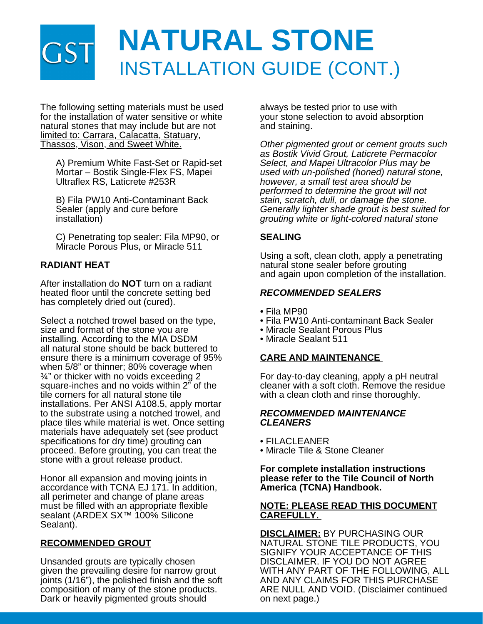# **NATURAL STONE** INSTALLATION GUIDE (CONT.)

The following setting materials must be used for the installation of water sensitive or white natural stones that may include but are not limited to: Carrara, Calacatta, Statuary, Thassos, Vison, and Sweet White.

 A) Premium White Fast-Set or Rapid-set Mortar – Bostik Single-Flex FS, Mapei Ultraflex RS, Laticrete #253R

 B) Fila PW10 Anti-Contaminant Back Sealer (apply and cure before installation)

 C) Penetrating top sealer: Fila MP90, or Miracle Porous Plus, or Miracle 511

# **RADIANT HEAT**

After installation do **NOT** turn on a radiant heated floor until the concrete setting bed has completely dried out (cured).

Select a notched trowel based on the type, size and format of the stone you are installing. According to the MIA DSDM all natural stone should be back buttered to ensure there is a minimum coverage of 95% when 5/8" or thinner; 80% coverage when ¾" or thicker with no voids exceeding 2 square-inches and no voids within 2" of the tile corners for all natural stone tile installations. Per ANSI A108.5, apply mortar to the substrate using a notched trowel, and place tiles while material is wet. Once setting materials have adequately set (see product specifications for dry time) grouting can proceed. Before grouting, you can treat the stone with a grout release product.

Honor all expansion and moving joints in accordance with TCNA EJ 171. In addition, all perimeter and change of plane areas must be filled with an appropriate flexible sealant (ARDEX SX<sup>™</sup> 100% Silicone Sealant).

# **RECOMMENDED GROUT**

Unsanded grouts are typically chosen given the prevailing desire for narrow grout joints (1/16"), the polished finish and the soft composition of many of the stone products. Dark or heavily pigmented grouts should

always be tested prior to use with your stone selection to avoid absorption and staining.

*Other pigmented grout or cement grouts such as Bostik Vivid Grout, Laticrete Permacolor Select, and Mapei Ultracolor Plus may be used with un-polished (honed) natural stone, however, a small test area should be performed to determine the grout will not stain, scratch, dull, or damage the stone. Generally lighter shade grout is best suited for grouting white or light-colored natural stone*

## **SEALING**

Using a soft, clean cloth, apply a penetrating natural stone sealer before grouting and again upon completion of the installation.

## *RECOMMENDED SEALERS*

- Fila MP90
- Fila PW10 Anti-contaminant Back Sealer
- Miracle Sealant Porous Plus
- Miracle Sealant 511

## **CARE AND MAINTENANCE**

For day-to-day cleaning, apply a pH neutral cleaner with a soft cloth. Remove the residue with a clean cloth and rinse thoroughly.

### *RECOMMENDED MAINTENANCE CLEANERS*

- FILACLEANER
- Miracle Tile & Stone Cleaner

### **For complete installation instructions please refer to the Tile Council of North America (TCNA) Handbook.**

### **NOTE: PLEASE READ THIS DOCUMENT CAREFULLY.**

**DISCLAIMER:** BY PURCHASING OUR NATURAL STONE TILE PRODUCTS, YOU SIGNIFY YOUR ACCEPTANCE OF THIS DISCLAIMER. IF YOU DO NOT AGREE WITH ANY PART OF THE FOLLOWING, ALL AND ANY CLAIMS FOR THIS PURCHASE ARE NULL AND VOID. (Disclaimer continued on next page.)